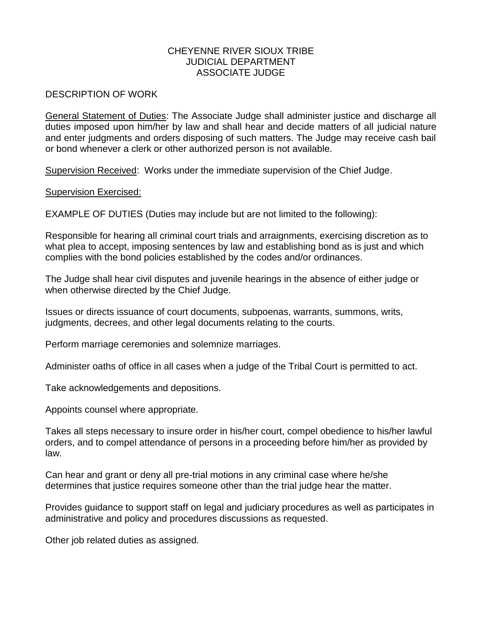## CHEYENNE RIVER SIOUX TRIBE JUDICIAL DEPARTMENT ASSOCIATE JUDGE

## DESCRIPTION OF WORK

General Statement of Duties: The Associate Judge shall administer justice and discharge all duties imposed upon him/her by law and shall hear and decide matters of all judicial nature and enter judgments and orders disposing of such matters. The Judge may receive cash bail or bond whenever a clerk or other authorized person is not available.

Supervision Received: Works under the immediate supervision of the Chief Judge.

## Supervision Exercised:

EXAMPLE OF DUTIES (Duties may include but are not limited to the following):

Responsible for hearing all criminal court trials and arraignments, exercising discretion as to what plea to accept, imposing sentences by law and establishing bond as is just and which complies with the bond policies established by the codes and/or ordinances.

The Judge shall hear civil disputes and juvenile hearings in the absence of either judge or when otherwise directed by the Chief Judge.

Issues or directs issuance of court documents, subpoenas, warrants, summons, writs, judgments, decrees, and other legal documents relating to the courts.

Perform marriage ceremonies and solemnize marriages.

Administer oaths of office in all cases when a judge of the Tribal Court is permitted to act.

Take acknowledgements and depositions.

Appoints counsel where appropriate.

Takes all steps necessary to insure order in his/her court, compel obedience to his/her lawful orders, and to compel attendance of persons in a proceeding before him/her as provided by law.

Can hear and grant or deny all pre-trial motions in any criminal case where he/she determines that justice requires someone other than the trial judge hear the matter.

Provides guidance to support staff on legal and judiciary procedures as well as participates in administrative and policy and procedures discussions as requested.

Other job related duties as assigned.